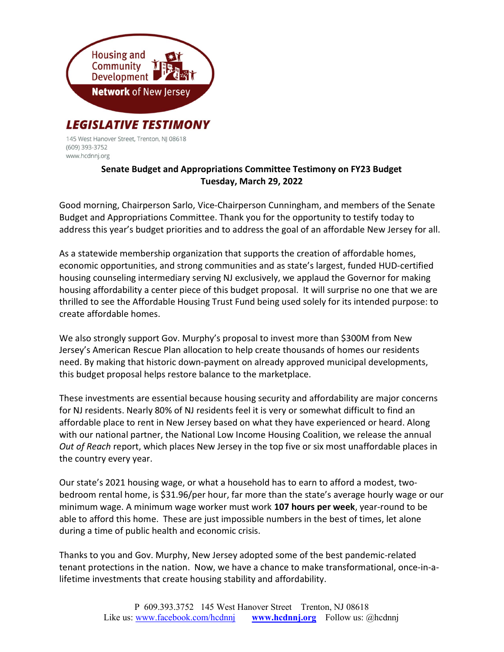

145 West Hanover Street, Trenton, NJ 08618 (609) 393-3752 www.hcdnnj.org

## Senate Budget and Appropriations Committee Testimony on FY23 Budget Tuesday, March 29, 2022

Good morning, Chairperson Sarlo, Vice-Chairperson Cunningham, and members of the Senate Budget and Appropriations Committee. Thank you for the opportunity to testify today to address this year's budget priorities and to address the goal of an affordable New Jersey for all.

As a statewide membership organization that supports the creation of affordable homes, economic opportunities, and strong communities and as state's largest, funded HUD-certified housing counseling intermediary serving NJ exclusively, we applaud the Governor for making housing affordability a center piece of this budget proposal. It will surprise no one that we are thrilled to see the Affordable Housing Trust Fund being used solely for its intended purpose: to create affordable homes.

We also strongly support Gov. Murphy's proposal to invest more than \$300M from New Jersey's American Rescue Plan allocation to help create thousands of homes our residents need. By making that historic down-payment on already approved municipal developments, this budget proposal helps restore balance to the marketplace.

These investments are essential because housing security and affordability are major concerns for NJ residents. Nearly 80% of NJ residents feel it is very or somewhat difficult to find an affordable place to rent in New Jersey based on what they have experienced or heard. Along with our national partner, the National Low Income Housing Coalition, we release the annual Out of Reach report, which places New Jersey in the top five or six most unaffordable places in the country every year.

Our state's 2021 housing wage, or what a household has to earn to afford a modest, twobedroom rental home, is \$31.96/per hour, far more than the state's average hourly wage or our minimum wage. A minimum wage worker must work 107 hours per week, year-round to be able to afford this home. These are just impossible numbers in the best of times, let alone during a time of public health and economic crisis.

Thanks to you and Gov. Murphy, New Jersey adopted some of the best pandemic-related tenant protections in the nation. Now, we have a chance to make transformational, once-in-alifetime investments that create housing stability and affordability.